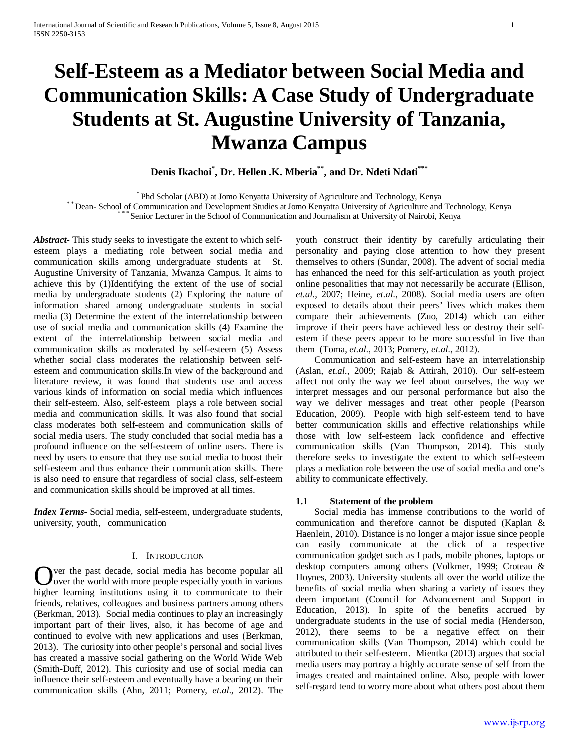# **Self-Esteem as a Mediator between Social Media and Communication Skills: A Case Study of Undergraduate Students at St. Augustine University of Tanzania, Mwanza Campus**

**Denis Ikachoi\* , Dr. Hellen .K. Mberia\*\*, and Dr. Ndeti Ndati\*\*\***

\* Phd Scholar (ABD) at Jomo Kenyatta University of Agriculture and Technology, Kenya<br>\* Dean- School of Communication and Development Studies at Jomo Kenyatta University of Agriculture and Technology, Kenya<br>\* \* \* Senior Lec

*Abstract***-** This study seeks to investigate the extent to which selfesteem plays a mediating role between social media and communication skills among undergraduate students at St. Augustine University of Tanzania, Mwanza Campus. It aims to achieve this by (1)Identifying the extent of the use of social media by undergraduate students (2) Exploring the nature of information shared among undergraduate students in social media (3) Determine the extent of the interrelationship between use of social media and communication skills (4) Examine the extent of the interrelationship between social media and communication skills as moderated by self-esteem (5) Assess whether social class moderates the relationship between selfesteem and communication skills.In view of the background and literature review, it was found that students use and access various kinds of information on social media which influences their self-esteem. Also, self-esteem plays a role between social media and communication skills. It was also found that social class moderates both self-esteem and communication skills of social media users. The study concluded that social media has a profound influence on the self-esteem of online users. There is need by users to ensure that they use social media to boost their self-esteem and thus enhance their communication skills. There is also need to ensure that regardless of social class, self-esteem and communication skills should be improved at all times.

*Index Terms*- Social media, self-esteem, undergraduate students, university, youth, communication

## I. INTRODUCTION

ver the past decade, social media has become popular all Over the past decade, social media has become popular all<br>over the world with more people especially youth in various higher learning institutions using it to communicate to their friends, relatives, colleagues and business partners among others (Berkman, 2013). Social media continues to play an increasingly important part of their lives, also, it has become of age and continued to evolve with new applications and uses (Berkman, 2013). The curiosity into other people's personal and social lives has created a massive social gathering on the World Wide Web (Smith-Duff, 2012). This curiosity and use of social media can influence their self-esteem and eventually have a bearing on their communication skills (Ahn, 2011; Pomery, *et.al*., 2012). The

youth construct their identity by carefully articulating their personality and paying close attention to how they present themselves to others (Sundar, 2008). The advent of social media has enhanced the need for this self-articulation as youth project online pesonalities that may not necessarily be accurate (Ellison, *et.al*., 2007; Heine, *et.al*., 2008). Social media users are often exposed to details about their peers' lives which makes them compare their achievements (Zuo, 2014) which can either improve if their peers have achieved less or destroy their selfestem if these peers appear to be more successful in live than them (Toma, *et.al*., 2013; Pomery, *et.al*., 2012).

 Communication and self-esteem have an interrelationship (Aslan, *et.al*., 2009; Rajab & Attirah, 2010). Our self-esteem affect not only the way we feel about ourselves, the way we interpret messages and our personal performance but also the way we deliver messages and treat other people (Pearson Education, 2009). People with high self-esteem tend to have better communication skills and effective relationships while those with low self-esteem lack confidence and effective communication skills (Van Thompson, 2014). This study therefore seeks to investigate the extent to which self-esteem plays a mediation role between the use of social media and one's ability to communicate effectively.

## **1.1 Statement of the problem**

 Social media has immense contributions to the world of communication and therefore cannot be disputed (Kaplan & Haenlein, 2010). Distance is no longer a major issue since people can easily communicate at the click of a respective communication gadget such as I pads, mobile phones, laptops or desktop computers among others (Volkmer, 1999; Croteau & Hoynes, 2003). University students all over the world utilize the benefits of social media when sharing a variety of issues they deem important (Council for Advancement and Support in Education, 2013). In spite of the benefits accrued by undergraduate students in the use of social media (Henderson, 2012), there seems to be a negative effect on their communication skills (Van Thompson, 2014) which could be attributed to their self-esteem. Mientka (2013) argues that social media users may portray a highly accurate sense of self from the images created and maintained online. Also, people with lower self-regard tend to worry more about what others post about them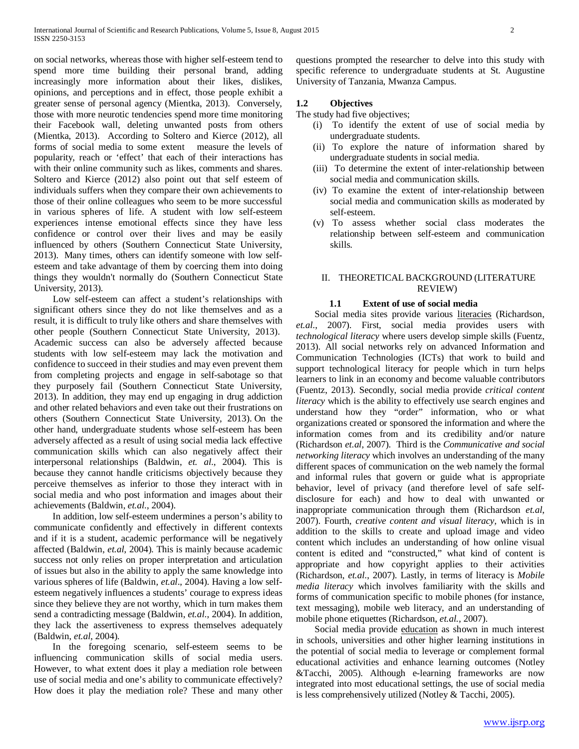on social networks, whereas those with higher self-esteem tend to spend more time building their personal brand, adding increasingly more information about their likes, dislikes, opinions, and perceptions and in effect, those people exhibit a greater sense of personal agency (Mientka, 2013). Conversely, those with more neurotic tendencies spend more time monitoring their Facebook wall, deleting unwanted posts from others (Mientka, 2013). According to Soltero and Kierce (2012), all forms of social media to some extent measure the levels of popularity, reach or 'effect' that each of their interactions has with their online community such as likes, comments and shares. Soltero and Kierce (2012) also point out that self esteem of individuals suffers when they compare their own achievements to those of their online colleagues who seem to be more successful in various spheres of life. A student with low self-esteem experiences intense emotional effects since they have less confidence or control over their lives and may be easily influenced by others (Southern Connecticut State University, 2013). Many times, others can identify someone with low selfesteem and take advantage of them by coercing them into doing things they wouldn't normally do (Southern Connecticut State University, 2013).

 Low self-esteem can affect a student's relationships with significant others since they do not like themselves and as a result, it is difficult to truly like others and share themselves with other people (Southern Connecticut State University, 2013). Academic success can also be adversely affected because students with low self-esteem may lack the motivation and confidence to succeed in their studies and may even prevent them from completing projects and engage in self-sabotage so that they purposely fail (Southern Connecticut State University, 2013). In addition, they may end up engaging in drug addiction and other related behaviors and even take out their frustrations on others (Southern Connecticut State University, 2013). On the other hand, undergraduate students whose self-esteem has been adversely affected as a result of using social media lack effective communication skills which can also negatively affect their interpersonal relationships (Baldwin, *et. al*., 2004). This is because they cannot handle criticisms objectively because they perceive themselves as inferior to those they interact with in social media and who post information and images about their achievements (Baldwin, *et.al*., 2004).

 In addition, low self-esteem undermines a person's ability to communicate confidently and effectively in different contexts and if it is a student, academic performance will be negatively affected (Baldwin, *et.al*, 2004). This is mainly because academic success not only relies on proper interpretation and articulation of issues but also in the ability to apply the same knowledge into various spheres of life (Baldwin, *et.al*., 2004). Having a low selfesteem negatively influences a students' courage to express ideas since they believe they are not worthy, which in turn makes them send a contradicting message (Baldwin, *et.al*., 2004). In addition, they lack the assertiveness to express themselves adequately (Baldwin, *et.al*, 2004).

 In the foregoing scenario, self-esteem seems to be influencing communication skills of social media users. However, to what extent does it play a mediation role between use of social media and one's ability to communicate effectively? How does it play the mediation role? These and many other questions prompted the researcher to delve into this study with specific reference to undergraduate students at St. Augustine University of Tanzania, Mwanza Campus.

# **1.2 Objectives**

The study had five objectives;

- (i) To identify the extent of use of social media by undergraduate students.
- (ii) To explore the nature of information shared by undergraduate students in social media.
- (iii) To determine the extent of inter-relationship between social media and communication skills.
- (iv) To examine the extent of inter-relationship between social media and communication skills as moderated by self-esteem.
- (v) To assess whether social class moderates the relationship between self-esteem and communication skills.

# II. THEORETICAL BACKGROUND (LITERATURE REVIEW)

# **1.1 Extent of use of social media**

 Social media sites provide various literacies (Richardson, *et.al*., 2007). First, social media provides users with *technological literacy* where users develop simple skills (Fuentz, 2013). All social networks rely on advanced Information and Communication Technologies (ICTs) that work to build and support technological literacy for people which in turn helps learners to link in an economy and become valuable contributors (Fuentz, 2013). Secondly, social media provide *critical content literacy* which is the ability to effectively use search engines and understand how they "order" information, who or what organizations created or sponsored the information and where the information comes from and its credibility and/or nature (Richardson *et.al*, 2007). Third is the *Communicative and social networking literacy* which involves an understanding of the many different spaces of communication on the web namely the formal and informal rules that govern or guide what is appropriate behavior, level of privacy (and therefore level of safe selfdisclosure for each) and how to deal with unwanted or inappropriate communication through them (Richardson *et.al*, 2007). Fourth, *creative content and visual literacy,* which is in addition to the skills to create and upload image and video content which includes an understanding of how online visual content is edited and "constructed," what kind of content is appropriate and how copyright applies to their activities (Richardson, *et.al*., 2007). Lastly, in terms of literacy is *Mobile media literacy* which involves familiarity with the skills and forms of communication specific to mobile phones (for instance, text messaging), mobile web literacy, and an understanding of mobile phone etiquettes (Richardson, *et.al.,* 2007).

 Social media provide education as shown in much interest in schools, universities and other higher learning institutions in the potential of social media to leverage or complement formal educational activities and enhance learning outcomes (Notley &Tacchi, 2005). Although e-learning frameworks are now integrated into most educational settings, the use of social media is less comprehensively utilized (Notley & Tacchi, 2005).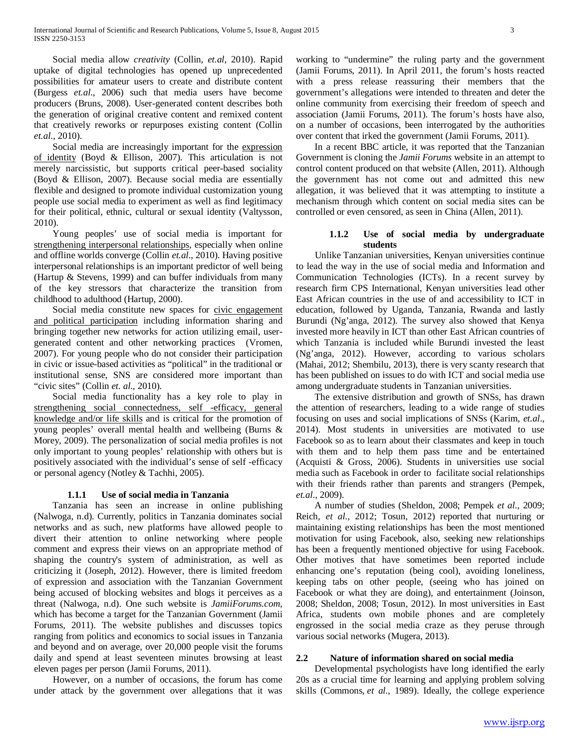Social media allow *creativity* (Collin, *et.al*, 2010). Rapid uptake of digital technologies has opened up unprecedented possibilities for amateur users to create and distribute content (Burgess *et.al*., 2006) such that media users have become producers (Bruns, 2008). User-generated content describes both the generation of original creative content and remixed content that creatively reworks or repurposes existing content (Collin *et.al*., 2010).

 Social media are increasingly important for the expression of identity (Boyd & Ellison, 2007). This articulation is not merely narcissistic, but supports critical peer-based sociality (Boyd & Ellison, 2007). Because social media are essentially flexible and designed to promote individual customization young people use social media to experiment as well as find legitimacy for their political, ethnic, cultural or sexual identity (Valtysson, 2010).

 Young peoples' use of social media is important for strengthening interpersonal relationships, especially when online and offline worlds converge (Collin *et.al*., 2010). Having positive interpersonal relationships is an important predictor of well being (Hartup & Stevens, 1999) and can buffer individuals from many of the key stressors that characterize the transition from childhood to adulthood (Hartup, 2000).

Social media constitute new spaces for civic engagement and political participation including information sharing and bringing together new networks for action utilizing email, usergenerated content and other networking practices (Vromen, 2007). For young people who do not consider their participation in civic or issue-based activities as "political" in the traditional or institutional sense, SNS are considered more important than "civic sites" (Collin *et. al*., 2010).

 Social media functionality has a key role to play in strengthening social connectedness, self -efficacy, general knowledge and/or life skills and is critical for the promotion of young peoples' overall mental health and wellbeing (Burns & Morey, 2009). The personalization of social media profiles is not only important to young peoples' relationship with others but is positively associated with the individual's sense of self -efficacy or personal agency (Notley & Tachhi, 2005).

# **1.1.1 Use of social media in Tanzania**

 Tanzania has seen an increase in online publishing (Nalwoga, n.d). Currently, politics in Tanzania dominates social networks and as such, new platforms have allowed people to divert their attention to online networking where people comment and express their views on an appropriate method of shaping the country's system of administration, as well as criticizing it (Joseph, 2012). However, there is limited freedom of expression and association with the Tanzanian Government being accused of blocking websites and blogs it perceives as a threat (Nalwoga, n.d). One such website is *JamiiForums.com*, which has become a target for the Tanzanian Government (Jamii Forums, 2011). The website publishes and discusses topics ranging from politics and economics to social issues in Tanzania and beyond and on average, over 20,000 people visit the forums daily and spend at least seventeen minutes browsing at least eleven pages per person (Jamii Forums, 2011).

 However, on a number of occasions, the forum has come under attack by the government over allegations that it was working to "undermine" the ruling party and the government (Jamii Forums, 2011). In April 2011, the forum's hosts reacted with a press release reassuring their members that the government's allegations were intended to threaten and deter the online community from exercising their freedom of speech and association (Jamii Forums, 2011). The forum's hosts have also, on a number of occasions, been interrogated by the authorities over content that irked the government (Jamii Forums, 2011).

 In a recent BBC article, it was reported that the Tanzanian Government is cloning the *Jamii Forums* website in an attempt to control content produced on that website (Allen, 2011). Although the government has not come out and admitted this new allegation, it was believed that it was attempting to institute a mechanism through which content on social media sites can be controlled or even censored, as seen in China (Allen, 2011).

# **1.1.2 Use of social media by undergraduate students**

 Unlike Tanzanian universities, Kenyan universities continue to lead the way in the use of social media and Information and Communication Technologies (ICTs). In a recent survey by research firm CPS International, Kenyan universities lead other East African countries in the use of and accessibility to ICT in education, followed by Uganda, Tanzania, Rwanda and lastly Burundi (Ng'anga, 2012). The survey also showed that Kenya invested more heavily in ICT than other East African countries of which Tanzania is included while Burundi invested the least (Ng'anga, 2012). However, according to various scholars (Mahai, 2012; Shembilu, 2013), there is very scanty research that has been published on issues to do with ICT and social media use among undergraduate students in Tanzanian universities.

 The extensive distribution and growth of SNSs, has drawn the attention of researchers, leading to a wide range of studies focusing on uses and social implications of SNSs (Karim, *et.al*., 2014). Most students in universities are motivated to use Facebook so as to learn about their classmates and keep in touch with them and to help them pass time and be entertained (Acquisti & Gross, 2006). Students in universities use social media such as Facebook in order to facilitate social relationships with their friends rather than parents and strangers (Pempek, *et.al*., 2009).

 A number of studies (Sheldon, 2008; Pempek *et al*., 2009; Reich, *et al*., 2012; Tosun, 2012) reported that nurturing or maintaining existing relationships has been the most mentioned motivation for using Facebook, also, seeking new relationships has been a frequently mentioned objective for using Facebook. Other motives that have sometimes been reported include enhancing one's reputation (being cool), avoiding loneliness, keeping tabs on other people, (seeing who has joined on Facebook or what they are doing), and entertainment (Joinson, 2008; Sheldon, 2008; Tosun, 2012). In most universities in East Africa, students own mobile phones and are completely engrossed in the social media craze as they peruse through various social networks (Mugera, 2013).

# **2.2 Nature of information shared on social media**

 Developmental psychologists have long identified the early 20s as a crucial time for learning and applying problem solving skills (Commons, *et al.*, 1989). Ideally, the college experience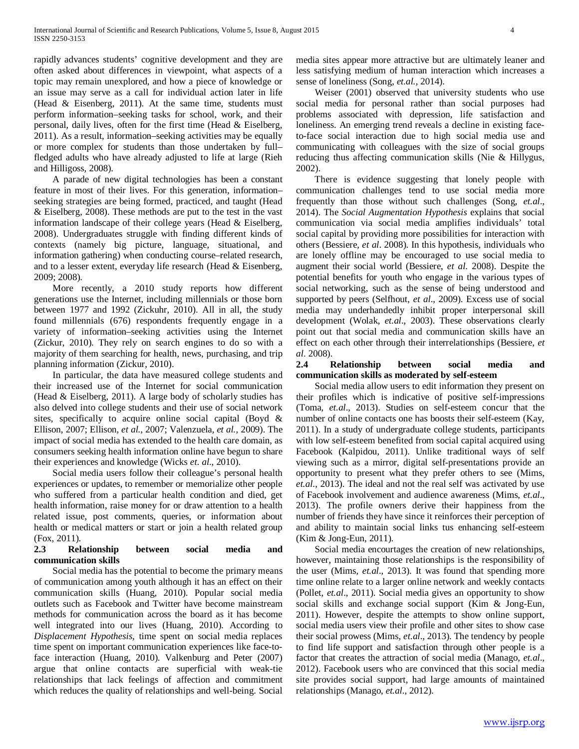rapidly advances students' cognitive development and they are often asked about differences in viewpoint, what aspects of a topic may remain unexplored, and how a piece of knowledge or an issue may serve as a call for individual action later in life (Head & Eisenberg, 2011). At the same time, students must perform information–seeking tasks for school, work, and their personal, daily lives, often for the first time (Head & Eiselberg, 2011). As a result, information–seeking activities may be equally or more complex for students than those undertaken by full– fledged adults who have already adjusted to life at large (Rieh and Hilligoss, 2008).

 A parade of new digital technologies has been a constant feature in most of their lives. For this generation, information– seeking strategies are being formed, practiced, and taught (Head & Eiselberg, 2008). These methods are put to the test in the vast information landscape of their college years (Head & Eiselberg, 2008). Undergraduates struggle with finding different kinds of contexts (namely big picture, language, situational, and information gathering) when conducting course–related research, and to a lesser extent, everyday life research (Head & Eisenberg, 2009; 2008).

 More recently, a 2010 study reports how different generations use the Internet, including millennials or those born between 1977 and 1992 (Zickuhr, 2010). All in all, the study found millennials (676) respondents frequently engage in a variety of information–seeking activities using the Internet (Zickur, 2010). They rely on search engines to do so with a majority of them searching for health, news, purchasing, and trip planning information (Zickur, 2010).

 In particular, the data have measured college students and their increased use of the Internet for social communication (Head & Eiselberg, 2011). A large body of scholarly studies has also delved into college students and their use of social network sites, specifically to acquire online social capital (Boyd & Ellison, 2007; Ellison, *et al.*, 2007; Valenzuela, *et al.*, 2009). The impact of social media has extended to the health care domain, as consumers seeking health information online have begun to share their experiences and knowledge (Wicks *et. al*., 2010).

 Social media users follow their colleague's personal health experiences or updates, to remember or memorialize other people who suffered from a particular health condition and died, get health information, raise money for or draw attention to a health related issue, post comments, queries, or information about health or medical matters or start or join a health related group (Fox, 2011).

# **2.3 Relationship between social media and communication skills**

 Social media has the potential to become the primary means of communication among youth although it has an effect on their communication skills (Huang, 2010). Popular social media outlets such as Facebook and Twitter have become mainstream methods for communication across the board as it has become well integrated into our lives (Huang, 2010). According to *Displacement Hypothesis*, time spent on social media replaces time spent on important communication experiences like face-toface interaction (Huang, 2010). Valkenburg and Peter (2007) argue that online contacts are superficial with weak-tie relationships that lack feelings of affection and commitment which reduces the quality of relationships and well-being. Social media sites appear more attractive but are ultimately leaner and less satisfying medium of human interaction which increases a sense of loneliness (Song, *et.al.,* 2014).

 Weiser (2001) observed that university students who use social media for personal rather than social purposes had problems associated with depression, life satisfaction and loneliness. An emerging trend reveals a decline in existing faceto-face social interaction due to high social media use and communicating with colleagues with the size of social groups reducing thus affecting communication skills (Nie & Hillygus, 2002).

 There is evidence suggesting that lonely people with communication challenges tend to use social media more frequently than those without such challenges (Song, *et.al*., 2014). The *Social Augmentation Hypothesis* explains that social communication via social media amplifies individuals' total social capital by providing more possibilities for interaction with others (Bessiere, *et al*. 2008). In this hypothesis, individuals who are lonely offline may be encouraged to use social media to augment their social world (Bessiere, *et al.* 2008). Despite the potential benefits for youth who engage in the various types of social networking, such as the sense of being understood and supported by peers (Selfhout, *et al*., 2009). Excess use of social media may underhandedly inhibit proper interpersonal skill development (Wolak, *et.al*., 2003). These observations clearly point out that social media and communication skills have an effect on each other through their interrelationships (Bessiere, *et al*. 2008).

# **2.4 Relationship between social media and communication skills as moderated by self-esteem**

 Social media allow users to edit information they present on their profiles which is indicative of positive self-impressions (Toma, *et.al*., 2013). Studies on self-esteem concur that the number of online contacts one has boosts their self-esteem (Kay, 2011). In a study of undergraduate college students, participants with low self-esteem benefited from social capital acquired using Facebook (Kalpidou, 2011). Unlike traditional ways of self viewing such as a mirror, digital self-presentations provide an opportunity to present what they prefer others to see (Mims, *et.al*., 2013). The ideal and not the real self was activated by use of Facebook involvement and audience awareness (Mims, *et.al*., 2013). The profile owners derive their happiness from the number of friends they have since it reinforces their perception of and ability to maintain social links tus enhancing self-esteem (Kim & Jong-Eun, 2011).

 Social media encourtages the creation of new relationships, however, maintaining those relationships is the responsibility of the user (Mims, *et.al*., 2013). It was found that spending more time online relate to a larger online network and weekly contacts (Pollet, *et.al*., 2011). Social media gives an opportunity to show social skills and exchange social support (Kim & Jong-Eun, 2011). However, despite the attempts to show online support, social media users view their profile and other sites to show case their social prowess (Mims, *et.al*., 2013). The tendency by people to find life support and satisfaction through other people is a factor that creates the attraction of social media (Manago, *et.al*., 2012). Facebook users who are convinced that this social media site provides social support, had large amounts of maintained relationships (Manago, *et.al*., 2012).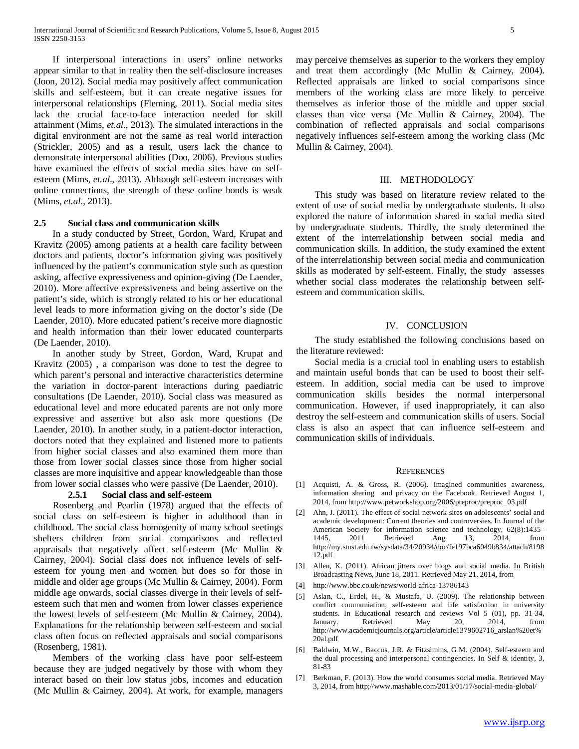If interpersonal interactions in users' online networks appear similar to that in reality then the self-disclosure increases (Joon, 2012). Social media may positively affect communication skills and self-esteem, but it can create negative issues for interpersonal relationships (Fleming, 2011). Social media sites lack the crucial face-to-face interaction needed for skill attainment (Mims, *et.al*., 2013). The simulated interactions in the digital environment are not the same as real world interaction (Strickler, 2005) and as a result, users lack the chance to demonstrate interpersonal abilities (Doo, 2006). Previous studies have examined the effects of social media sites have on selfesteem (Mims, *et.al*., 2013). Although self-esteem increases with online connections, the strength of these online bonds is weak (Mims, *et.al*., 2013).

## **2.5 Social class and communication skills**

 In a study conducted by Street, Gordon, Ward, Krupat and Kravitz (2005) among patients at a health care facility between doctors and patients, doctor's information giving was positively influenced by the patient's communication style such as question asking, affective expressiveness and opinion-giving (De Laender, 2010). More affective expressiveness and being assertive on the patient's side, which is strongly related to his or her educational level leads to more information giving on the doctor's side (De Laender, 2010). More educated patient's receive more diagnostic and health information than their lower educated counterparts (De Laender, 2010).

 In another study by Street, Gordon, Ward, Krupat and Kravitz (2005) , a comparison was done to test the degree to which parent's personal and interactive characteristics determine the variation in doctor-parent interactions during paediatric consultations (De Laender, 2010). Social class was measured as educational level and more educated parents are not only more expressive and assertive but also ask more questions (De Laender, 2010). In another study, in a patient-doctor interaction, doctors noted that they explained and listened more to patients from higher social classes and also examined them more than those from lower social classes since those from higher social classes are more inquisitive and appear knowledgeable than those from lower social classes who were passive (De Laender, 2010).

## **2.5.1 Social class and self-esteem**

 Rosenberg and Pearlin (1978) argued that the effects of social class on self-esteem is higher in adulthood than in childhood. The social class homogenity of many school seetings shelters children from social comparisons and reflected appraisals that negatively affect self-esteem (Mc Mullin & Cairney, 2004). Social class does not influence levels of selfesteem for young men and women but does so for those in middle and older age groups (Mc Mullin & Cairney, 2004). Form middle age onwards, social classes diverge in their levels of selfesteem such that men and women from lower classes experience the lowest levels of self-esteem (Mc Mullin & Cairney, 2004). Explanations for the relationship between self-esteem and social class often focus on reflected appraisals and social comparisons (Rosenberg, 1981).

 Members of the working class have poor self-esteem because they are judged negatively by those with whom they interact based on their low status jobs, incomes and education (Mc Mullin & Cairney, 2004). At work, for example, managers

may perceive themselves as superior to the workers they employ and treat them accordingly (Mc Mullin & Cairney, 2004). Reflected appraisals are linked to social comparisons since members of the working class are more likely to perceive themselves as inferior those of the middle and upper social classes than vice versa (Mc Mullin & Cairney, 2004). The combination of reflected appraisals and social comparisons negatively influences self-esteem among the working class (Mc Mullin & Cairney, 2004).

## III. METHODOLOGY

 This study was based on literature review related to the extent of use of social media by undergraduate students. It also explored the nature of information shared in social media sited by undergraduate students. Thirdly, the study determined the extent of the interrelationship between social media and communication skills. In addition, the study examined the extent of the interrelationship between social media and communication skills as moderated by self-esteem. Finally, the study assesses whether social class moderates the relationship between selfesteem and communication skills.

## IV. CONCLUSION

 The study established the following conclusions based on the literature reviewed:

 Social media is a crucial tool in enabling users to establish and maintain useful bonds that can be used to boost their selfesteem. In addition, social media can be used to improve communication skills besides the normal interpersonal communication. However, if used inappropriately, it can also destroy the self-esteem and communication skills of users. Social class is also an aspect that can influence self-esteem and communication skills of individuals.

#### **REFERENCES**

- [1] Acquisti, A. & Gross, R. (2006). Imagined communities awareness, information sharing and privacy on the Facebook. Retrieved August 1, 2014, from http://www.petworkshop.org/2006/preproc/preproc\_03.pdf
- [2] Ahn, J. (2011). The effect of social network sites on adolescents' social and academic development: Current theories and controversies. In Journal of the American Society for information science and technology, 62(8):1435– 1445, 2011 Retrieved Aug 13, 2014, from http://my.stust.edu.tw/sysdata/34/20934/doc/fe197bca6049b834/attach/8198 12.pdf
- [3] Allen, K. (2011). African jitters over blogs and social media. In British Broadcasting News, June 18, 2011. Retrieved May 21, 2014, from
- [4] http://www.bbc.co.uk/news/world-africa-13786143
- [5] Aslan, C., Erdel, H., & Mustafa, U. (2009). The relationship between conflict communiation, self-esteem and life satisfaction in university students. In Educational research and reviews Vol 5 (01), pp. 31-34, January. Retrieved May 20, 2014, from http://www.academicjournals.org/article/article1379602716\_arslan%20et% 20al.pdf
- [6] Baldwin, M.W., Baccus, J.R. & Fitzsimins, G.M. (2004). Self-esteem and the dual processing and interpersonal contingencies. In Self & identity, 3, 81-83
- [7] Berkman, F. (2013). How the world consumes social media. Retrieved May 3, 2014, from http;//www.mashable.com/2013/01/17/social-media-global/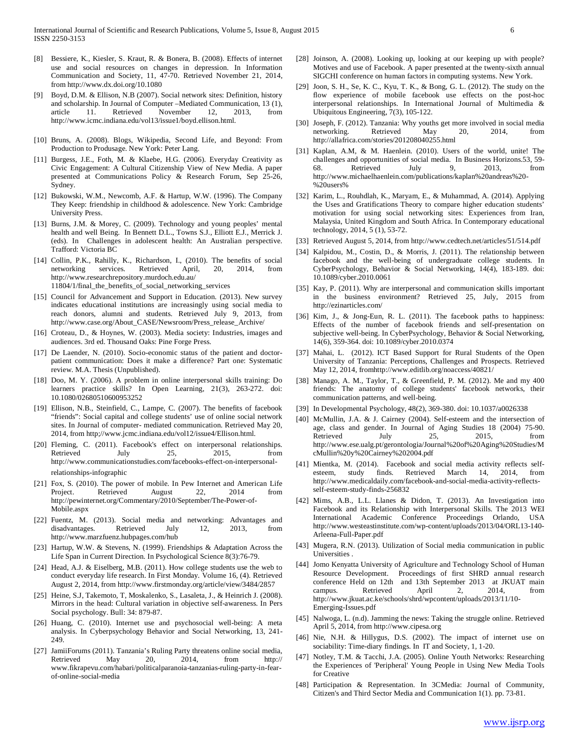- [8] Bessiere, K., Kiesler, S. Kraut, R. & Bonera, B. (2008). Effects of internet use and social resources on changes in depression. In Information Communication and Society, 11, 47-70. Retrieved November 21, 2014, from http://www.dx.doi.org/10.1080
- [9] Boyd, D.M. & Ellison, N.B (2007). Social network sites: Definition, history and scholarship. In Journal of Computer –Mediated Communication, 13 (1), article 11. Retrieved November 12, 2013, from http://www.icmc.indiana.edu/vol13/issue1/boyd.ellison.html.
- [10] Bruns, A. (2008). Blogs, Wikipedia, Second Life, and Beyond: From Production to Produsage. New York: Peter Lang.
- [11] Burgess, J.E., Foth, M. & Klaebe, H.G. (2006). Everyday Creativity as Civic Engagement: A Cultural Citizenship View of New Media. A paper presented at Communications Policy & Research Forum, Sep 25-26, Sydney.
- [12] Bukowski, W.M., Newcomb, A.F. & Hartup, W.W. (1996). The Company They Keep: friendship in childhood & adolescence. New York: Cambridge University Press.
- [13] Burns, J.M. & Morey, C. (2009). Technology and young peoples' mental health and well Being. In Bennett D.L., Towns S.J., Elliott E.J., Merrick J. (eds). In Challenges in adolescent health: An Australian perspective. Trafford: Victoria BC
- [14] Collin, P.K., Rahilly, K., Richardson, I., (2010). The benefits of social networking services. Retrieved April, 20, 2014, from http://www.researchrepository.murdoch.edu.au/ 11804/1/final\_the\_benefits\_of\_social\_networking\_services
- [15] Council for Advancement and Support in Education. (2013). New survey indicates educational institutions are increasingly using social media to reach donors, alumni and students. Retrieved July 9, 2013, from http://www.case.org/About\_CASE/Newsroom/Press\_release\_Archive/
- [16] Croteau, D., & Hoynes, W. (2003). Media society: Industries, images and audiences. 3rd ed. Thousand Oaks: Pine Forge Press.
- [17] De Laender, N. (2010). Socio-economic status of the patient and doctorpatient communication: Does it make a difference? Part one: Systematic review. M.A. Thesis (Unpublished).
- [18] Doo, M. Y. (2006). A problem in online interpersonal skills training: Do learners practice skills? In Open Learning, 21(3), 263-272. doi: 10.1080/02680510600953252
- [19] Ellison, N.B., Steinfield, C., Lampe, C. (2007). The benefits of facebook "friends": Social capital and college students' use of online social network sites. In Journal of computer- mediated communication. Retrieved May 20, 2014, from http;//www.jcmc.indiana.edu/vol12/issue4/Ellison.html.
- [20] Fleming, C. (2011). Facebook's effect on interpersonal relationships. Retrieved July 25, 2015, from http://www.communicationstudies.com/facebooks-effect-on-interpersonalrelationships-infographic
- [21] Fox, S. (2010). The power of mobile. In Pew Internet and American Life Project. Retrieved August 22, 2014 from http://pewinternet.org/Commentary/2010/September/The-Power-of-Mobile.aspx
- [22] Fuentz, M. (2013). Social media and networking: Advantages and disadvantages. Retrieved July 12, 2013, from http://www.marzfuenz.hubpages.com/hub
- [23] Hartup, W.W. & Stevens, N. (1999). Friendships & Adaptation Across the Life Span in Current Direction. In Psychological Science 8(3):76-79.
- [24] Head, A.J. & Eiselberg, M.B. (2011). How college students use the web to conduct everyday life research. In First Monday. Volume 16, (4). Retrieved August 2, 2014, from http://www.firstmonday.org/article/view/3484/2857
- [25] Heine, S.J, Takemoto, T, Moskalenko, S., Lasaleta, J., & Heinrich J. (2008). Mirrors in the head: Cultural variation in objective self-awareness. In Pers Social psychology. Bull: 34: 879-87.
- [26] Huang, C. (2010). Internet use and psychosocial well-being: A meta analysis. In Cyberpsychology Behavior and Social Networking, 13, 241- 249.
- [27] JamiiForums (2011). Tanzania's Ruling Party threatens online social media, Retrieved May 20, 2014, from http:// www.fikrapevu.com/habari/politicalparanoia-tanzanias-ruling-party-in-fearof-online-social-media
- [28] Joinson, A. (2008). Looking up, looking at our keeping up with people? Motives and use of Facebook. A paper presented at the twenty-sixth annual SIGCHI conference on human factors in computing systems. New York.
- [29] Joon, S. H., Se, K. C., Kyu, T. K., & Bong, G. L. (2012). The study on the flow experience of mobile facebook use effects on the post-hoc interpersonal relationships. In International Journal of Multimedia & Ubiquitous Engineering, 7(3), 105-122.
- [30] Joseph, F. (2012). Tanzania: Why youths get more involved in social media networking. Retrieved May 20, 2014, from http://allafrica.com/stories/201208040255.html
- [31] Kaplan, A.M, & M. Haenlein. (2010). Users of the world, unite! The challenges and opportunities of social media. In Business Horizons.53, 59-<br>68. Retrieved July 9, 2013, from 68. Retrieved July 9, 2013, from http://www.michaelhaenlein.com/publications/kaplan%20andreas%20- %20users%
- [32] Karim, L., Rouhdlah, K., Maryam, E., & Muhammad, A. (2014). Applying the Uses and Gratifications Theory to compare higher education students' motivation for using social networking sites: Experiences from Iran, Malaysia, United Kingdom and South Africa. In Contemporary educational technology, 2014, 5 (1), 53-72.
- [33] Retrieved August 5, 2014, from http://www.cedtech.net/articles/51/514.pdf
- [34] Kalpidou, M., Costin, D., & Morris, J. (2011). The relationship between facebook and the well-being of undergraduate college students. In CyberPsychology, Behavior & Social Networking, 14(4), 183-189. doi: 10.1089/cyber.2010.0061
- [35] Kay, P. (2011). Why are interpersonal and communication skills important in the business environment? Retrieved 25, July, 2015 from http://ezinarticles.com/
- [36] Kim, J., & Jong-Eun, R. L. (2011). The facebook paths to happiness: Effects of the number of facebook friends and self-presentation on subjective well-being. In CyberPsychology, Behavior & Social Networking, 14(6), 359-364. doi: 10.1089/cyber.2010.0374
- [37] Mahai, L. (2012). ICT Based Support for Rural Students of the Open University of Tanzania: Perceptions, Challenges and Prospects. Retrieved May 12, 2014, fromhttp://www.editlib.org/noaccess/40821/
- [38] Manago, A. M., Taylor, T., & Greenfield, P. M. (2012). Me and my 400 friends: The anatomy of college students' facebook networks, their communication patterns, and well-being.
- [39] In Developmental Psychology, 48(2), 369-380. doi: 10.1037/a0026338
- [40] McMullin, J.A. & J. Cairney (2004). Self-esteem and the intersection of age, class and gender. In Journal of Aging Studies 18 (2004) 75-90. Retrieved July 25, 2015, from http://www.ese.ualg.pt/gerontologia/Journal%20of%20Aging%20Studies/M cMullin%20y%20Cairney%202004.pdf
- [41] Mientka, M. (2014). Facebook and social media activity reflects selfesteem, study finds. Retrieved March 14, 2014, from http://www.medicaldaily.com/facebook-and-social-media-activity-reflectsself-esteem-study-finds-256832
- [42] Mims, A.B., L.L. Llanes & Didon, T. (2013). An Investigation into Facebook and its Relationship with Interpersonal Skills. The 2013 WEI International Academic Conference Proceedings Orlando, USA http://www.westeastinstitute.com/wp-content/uploads/2013/04/ORL13-140- Arleena-Full-Paper.pdf
- [43] Mugera, R.N. (2013). Utilization of Social media communication in public Universities .
- [44] Jomo Kenyatta University of Agriculture and Technology School of Human Resource Development. Proceedings of first SHRD annual research conference Held on 12th and 13th September 2013 at JKUAT main campus. Retrieved April 2, 2014, from http://www.jkuat.ac.ke/schools/shrd/wpcontent/uploads/2013/11/10- Emerging-Issues.pdf
- [45] Nalwoga, L. (n.d). Jamming the news: Taking the struggle online. Retrieved April 5, 2014, from http://www.cipesa.org
- [46] Nie, N.H. & Hillygus, D.S. (2002). The impact of internet use on sociability: Time-diary findings. In IT and Society, 1, 1-20.
- [47] Notley, T.M. & Tacchi, J.A. (2005). Online Youth Networks: Researching the Experiences of 'Peripheral' Young People in Using New Media Tools for Creative
- [48] Participation & Representation. In 3CMedia: Journal of Community, Citizen's and Third Sector Media and Communication 1(1). pp. 73-81.